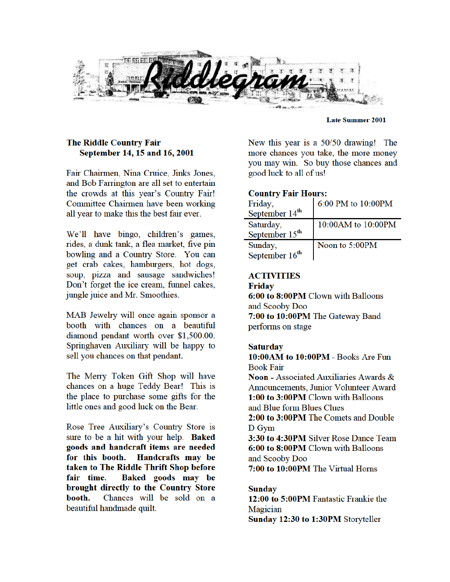

#### **Late Summer 2001**

#### The Riddle Country Fair September 14, 15 and 16, 2001

Fair Chairmen, Nina Cruice, Jinks Jones, and Bob Farrington are all set to entertain the crowds at this year's Country Fair! Committee Chairmen have been working all year to make this the best fair ever.

We'll have bingo, children's games, rides, a dunk tank, a flea market, five pin bowling and a Country Store. You can get crab cakes, hamburgers, hot dogs, soup, pizza and sausage sandwiches! Don't forget the ice cream, funnel cakes, jungle juice and Mr. Smoothies.

MAB Jewelry will once again sponsor a booth with chances on a beautiful diamond pendant worth over \$1,500.00. Springhaven Auxiliary will be happy to sell you chances on that pendant.

The Merry Token Gift Shop will have chances on a huge Teddy Bear! This is the place to purchase some gifts for the little ones and good luck on the Bear.

Rose Tree Auxiliary's Country Store is sure to be a hit with your help. Baked goods and handcraft items are needed for this booth. Handcrafts may be taken to The Riddle Thrift Shop before fair time. Baked goods may be brought directly to the Country Store Chances will be sold on a booth. beautiful handmade quilt.

New this year is a 50/50 drawing! The more chances you take, the more money you may win. So buy those chances and good luck to all of us!

#### **Country Fair Hours:**

| Friday,                    | 6:00 PM to 10:00PM |
|----------------------------|--------------------|
| September 14 <sup>th</sup> |                    |
| Saturday,                  | 10:00AM to 10:00PM |
| September 15 <sup>th</sup> |                    |
| Sunday,                    | Noon to 5:00PM     |
| September 16 <sup>th</sup> |                    |

# **ACTIVITIES**

#### **Friday**

6:00 to 8:00PM Clown with Balloons and Scooby Doo 7:00 to 10:00PM The Gateway Band performs on stage

#### **Saturday**

10:00AM to 10:00PM - Books Are Fun **Book Fair Noon** - Associated Auxiliaries Awards & Announcements, Junior Volunteer Award 1:00 to 3:00PM Clown with Balloons and Blue form Blues Clues 2:00 to 3:00PM The Comets and Double D Gym 3:30 to 4:30PM Silver Rose Dance Team 6:00 to 8:00PM Clown with Balloons and Scooby Doo 7:00 to 10:00PM The Virtual Horns

#### **Sunday**

12:00 to 5:00PM Fantastic Frankie the Magician Sunday 12:30 to 1:30PM Storyteller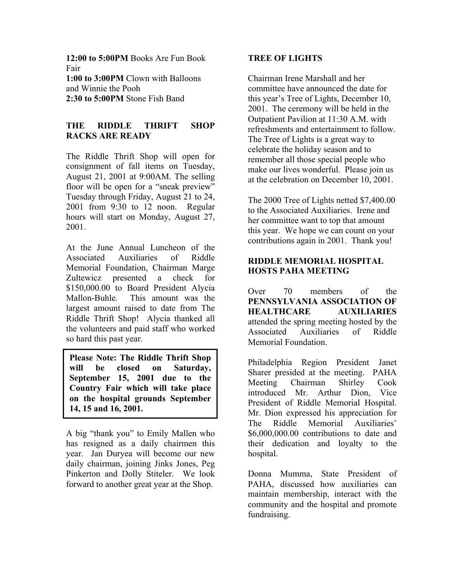**12:00 to 5:00PM** Books Are Fun Book Fair **1:00 to 3:00PM** Clown with Balloons and Winnie the Pooh **2:30 to 5:00PM** Stone Fish Band

# **THE RIDDLE THRIFT SHOP RACKS ARE READY**

The Riddle Thrift Shop will open for consignment of fall items on Tuesday, August 21, 2001 at 9:00AM. The selling floor will be open for a "sneak preview" Tuesday through Friday, August 21 to 24, 2001 from 9:30 to 12 noon. Regular hours will start on Monday, August 27, 2001.

At the June Annual Luncheon of the Associated Auxiliaries of Riddle Memorial Foundation, Chairman Marge Zultewicz presented a check for \$150,000.00 to Board President Alycia Mallon-Buhle. This amount was the largest amount raised to date from The Riddle Thrift Shop! Alycia thanked all the volunteers and paid staff who worked so hard this past year.

**Please Note: The Riddle Thrift Shop will be closed on Saturday, September 15, 2001 due to the Country Fair which will take place on the hospital grounds September 14, 15 and 16, 2001.** 

A big "thank you" to Emily Mallen who has resigned as a daily chairmen this year. Jan Duryea will become our new daily chairman, joining Jinks Jones, Peg Pinkerton and Dolly Stiteler. We look forward to another great year at the Shop.

# **TREE OF LIGHTS**

Chairman Irene Marshall and her committee have announced the date for this year's Tree of Lights, December 10, 2001. The ceremony will be held in the Outpatient Pavilion at 11:30 A.M. with refreshments and entertainment to follow. The Tree of Lights is a great way to celebrate the holiday season and to remember all those special people who make our lives wonderful. Please join us at the celebration on December 10, 2001.

The 2000 Tree of Lights netted \$7,400.00 to the Associated Auxiliaries. Irene and her committee want to top that amount this year. We hope we can count on your contributions again in 2001. Thank you!

# **RIDDLE MEMORIAL HOSPITAL HOSTS PAHA MEETING**

Over 70 members of the **PENNSYLVANIA ASSOCIATION OF HEALTHCARE AUXILIARIES**  attended the spring meeting hosted by the Associated Auxiliaries of Riddle Memorial Foundation.

Philadelphia Region President Janet Sharer presided at the meeting. PAHA Meeting Chairman Shirley Cook introduced Mr. Arthur Dion, Vice President of Riddle Memorial Hospital. Mr. Dion expressed his appreciation for The Riddle Memorial Auxiliaries' \$6,000,000.00 contributions to date and their dedication and loyalty to the hospital.

Donna Mumma, State President of PAHA, discussed how auxiliaries can maintain membership, interact with the community and the hospital and promote fundraising.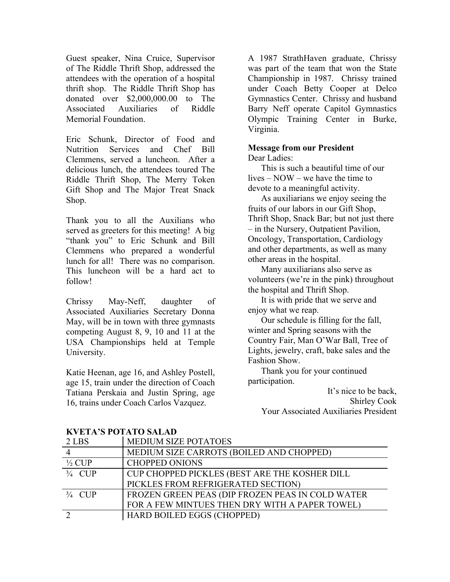Guest speaker, Nina Cruice, Supervisor of The Riddle Thrift Shop, addressed the attendees with the operation of a hospital thrift shop. The Riddle Thrift Shop has donated over \$2,000,000.00 to The Associated Auxiliaries of Riddle Memorial Foundation.

Eric Schunk, Director of Food and Nutrition Services and Chef Bill Clemmens, served a luncheon. After a delicious lunch, the attendees toured The Riddle Thrift Shop, The Merry Token Gift Shop and The Major Treat Snack Shop.

Thank you to all the Auxilians who served as greeters for this meeting! A big "thank you" to Eric Schunk and Bill Clemmens who prepared a wonderful lunch for all! There was no comparison. This luncheon will be a hard act to follow!

Chrissy May-Neff, daughter of Associated Auxiliaries Secretary Donna May, will be in town with three gymnasts competing August 8, 9, 10 and 11 at the USA Championships held at Temple University.

Katie Heenan, age 16, and Ashley Postell, age 15, train under the direction of Coach Tatiana Perskaia and Justin Spring, age 16, trains under Coach Carlos Vazquez.

A 1987 StrathHaven graduate, Chrissy was part of the team that won the State Championship in 1987. Chrissy trained under Coach Betty Cooper at Delco Gymnastics Center. Chrissy and husband Barry Neff operate Capitol Gymnastics Olympic Training Center in Burke, Virginia.

#### **Message from our President**

Dear Ladies:

 This is such a beautiful time of our lives – NOW – we have the time to devote to a meaningful activity.

 As auxiliarians we enjoy seeing the fruits of our labors in our Gift Shop, Thrift Shop, Snack Bar; but not just there – in the Nursery, Outpatient Pavilion, Oncology, Transportation, Cardiology and other departments, as well as many other areas in the hospital.

 Many auxiliarians also serve as volunteers (we're in the pink) throughout the hospital and Thrift Shop.

 It is with pride that we serve and enjoy what we reap.

 Our schedule is filling for the fall, winter and Spring seasons with the Country Fair, Man O'War Ball, Tree of Lights, jewelry, craft, bake sales and the Fashion Show.

 Thank you for your continued participation.

> It's nice to be back, Shirley Cook Your Associated Auxiliaries President

| 2 LBS             | <b>MEDIUM SIZE POTATOES</b>                      |
|-------------------|--------------------------------------------------|
|                   | MEDIUM SIZE CARROTS (BOILED AND CHOPPED)         |
| $\frac{1}{2}$ CUP | <b>CHOPPED ONIONS</b>                            |
| $\frac{3}{4}$ CUP | CUP CHOPPED PICKLES (BEST ARE THE KOSHER DILL    |
|                   | PICKLES FROM REFRIGERATED SECTION)               |
| $\frac{3}{4}$ CUP | FROZEN GREEN PEAS (DIP FROZEN PEAS IN COLD WATER |
|                   | FOR A FEW MINTUES THEN DRY WITH A PAPER TOWEL)   |
|                   | HARD BOILED EGGS (CHOPPED)                       |

# **KVETA'S POTATO SALAD**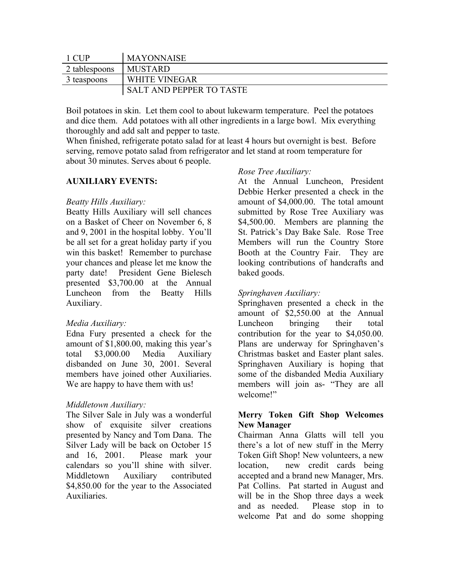| 1 CHP         | <b>MAYONNAISE</b>               |
|---------------|---------------------------------|
| 2 tablespoons | MUSTARD                         |
| 3 teaspoons   | <b>WHITE VINEGAR</b>            |
|               | <b>SALT AND PEPPER TO TASTE</b> |

Boil potatoes in skin. Let them cool to about lukewarm temperature. Peel the potatoes and dice them. Add potatoes with all other ingredients in a large bowl. Mix everything thoroughly and add salt and pepper to taste.

When finished, refrigerate potato salad for at least 4 hours but overnight is best. Before serving, remove potato salad from refrigerator and let stand at room temperature for about 30 minutes. Serves about 6 people.

#### **AUXILIARY EVENTS:**

#### *Beatty Hills Auxiliary:*

Beatty Hills Auxiliary will sell chances on a Basket of Cheer on November 6, 8 and 9, 2001 in the hospital lobby. You'll be all set for a great holiday party if you win this basket! Remember to purchase your chances and please let me know the party date! President Gene Bielesch presented \$3,700.00 at the Annual Luncheon from the Beatty Hills Auxiliary.

# *Media Auxiliary:*

Edna Fury presented a check for the amount of \$1,800.00, making this year's total \$3,000.00 Media Auxiliary disbanded on June 30, 2001. Several members have joined other Auxiliaries. We are happy to have them with us!

# *Middletown Auxiliary:*

The Silver Sale in July was a wonderful show of exquisite silver creations presented by Nancy and Tom Dana. The Silver Lady will be back on October 15 and 16, 2001. Please mark your calendars so you'll shine with silver. Middletown Auxiliary contributed \$4,850.00 for the year to the Associated Auxiliaries.

#### *Rose Tree Auxiliary:*

At the Annual Luncheon, President Debbie Herker presented a check in the amount of \$4,000.00. The total amount submitted by Rose Tree Auxiliary was \$4,500.00. Members are planning the St. Patrick's Day Bake Sale. Rose Tree Members will run the Country Store Booth at the Country Fair. They are looking contributions of handcrafts and baked goods.

#### *Springhaven Auxiliary:*

Springhaven presented a check in the amount of \$2,550.00 at the Annual Luncheon bringing their total contribution for the year to \$4,050.00. Plans are underway for Springhaven's Christmas basket and Easter plant sales. Springhaven Auxiliary is hoping that some of the disbanded Media Auxiliary members will join as- "They are all welcome!"

# **Merry Token Gift Shop Welcomes New Manager**

Chairman Anna Glatts will tell you there's a lot of new stuff in the Merry Token Gift Shop! New volunteers, a new location, new credit cards being accepted and a brand new Manager, Mrs. Pat Collins. Pat started in August and will be in the Shop three days a week and as needed. Please stop in to welcome Pat and do some shopping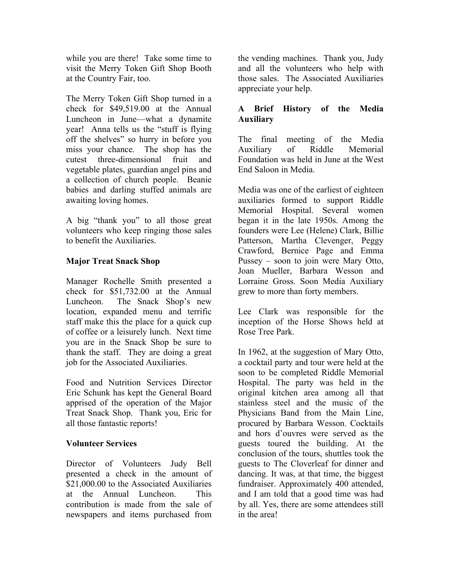while you are there! Take some time to visit the Merry Token Gift Shop Booth at the Country Fair, too.

The Merry Token Gift Shop turned in a check for \$49,519.00 at the Annual Luncheon in June—what a dynamite year! Anna tells us the "stuff is flying off the shelves" so hurry in before you miss your chance. The shop has the cutest three-dimensional fruit and vegetable plates, guardian angel pins and a collection of church people. Beanie babies and darling stuffed animals are awaiting loving homes.

A big "thank you" to all those great volunteers who keep ringing those sales to benefit the Auxiliaries.

# **Major Treat Snack Shop**

Manager Rochelle Smith presented a check for \$51,732.00 at the Annual Luncheon. The Snack Shop's new location, expanded menu and terrific staff make this the place for a quick cup of coffee or a leisurely lunch. Next time you are in the Snack Shop be sure to thank the staff. They are doing a great job for the Associated Auxiliaries.

Food and Nutrition Services Director Eric Schunk has kept the General Board apprised of the operation of the Major Treat Snack Shop. Thank you, Eric for all those fantastic reports!

# **Volunteer Services**

Director of Volunteers Judy Bell presented a check in the amount of \$21,000.00 to the Associated Auxiliaries at the Annual Luncheon. This contribution is made from the sale of newspapers and items purchased from

the vending machines. Thank you, Judy and all the volunteers who help with those sales. The Associated Auxiliaries appreciate your help.

# **A Brief History of the Media Auxiliary**

The final meeting of the Media Auxiliary of Riddle Memorial Foundation was held in June at the West End Saloon in Media.

Media was one of the earliest of eighteen auxiliaries formed to support Riddle Memorial Hospital. Several women began it in the late 1950s. Among the founders were Lee (Helene) Clark, Billie Patterson, Martha Clevenger, Peggy Crawford, Bernice Page and Emma Pussey – soon to join were Mary Otto, Joan Mueller, Barbara Wesson and Lorraine Gross. Soon Media Auxiliary grew to more than forty members.

Lee Clark was responsible for the inception of the Horse Shows held at Rose Tree Park.

In 1962, at the suggestion of Mary Otto, a cocktail party and tour were held at the soon to be completed Riddle Memorial Hospital. The party was held in the original kitchen area among all that stainless steel and the music of the Physicians Band from the Main Line, procured by Barbara Wesson. Cocktails and hors d'ouvres were served as the guests toured the building. At the conclusion of the tours, shuttles took the guests to The Cloverleaf for dinner and dancing. It was, at that time, the biggest fundraiser. Approximately 400 attended, and I am told that a good time was had by all. Yes, there are some attendees still in the area!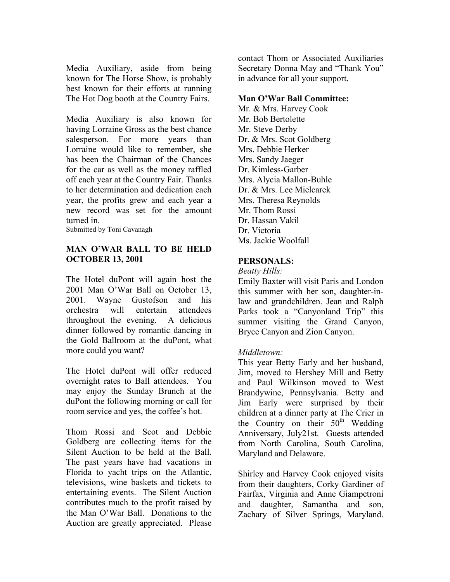Media Auxiliary, aside from being known for The Horse Show, is probably best known for their efforts at running The Hot Dog booth at the Country Fairs.

Media Auxiliary is also known for having Lorraine Gross as the best chance salesperson. For more years than Lorraine would like to remember, she has been the Chairman of the Chances for the car as well as the money raffled off each year at the Country Fair. Thanks to her determination and dedication each year, the profits grew and each year a new record was set for the amount turned in.

Submitted by Toni Cavanagh

# **MAN O'WAR BALL TO BE HELD OCTOBER 13, 2001**

The Hotel duPont will again host the 2001 Man O'War Ball on October 13, 2001. Wayne Gustofson and his orchestra will entertain attendees throughout the evening. A delicious dinner followed by romantic dancing in the Gold Ballroom at the duPont, what more could you want?

The Hotel duPont will offer reduced overnight rates to Ball attendees. You may enjoy the Sunday Brunch at the duPont the following morning or call for room service and yes, the coffee's hot.

Thom Rossi and Scot and Debbie Goldberg are collecting items for the Silent Auction to be held at the Ball. The past years have had vacations in Florida to yacht trips on the Atlantic, televisions, wine baskets and tickets to entertaining events. The Silent Auction contributes much to the profit raised by the Man O'War Ball. Donations to the Auction are greatly appreciated. Please

contact Thom or Associated Auxiliaries Secretary Donna May and "Thank You" in advance for all your support.

#### **Man O'War Ball Committee:**

Mr. & Mrs. Harvey Cook Mr. Bob Bertolette Mr. Steve Derby Dr. & Mrs. Scot Goldberg Mrs. Debbie Herker Mrs. Sandy Jaeger Dr. Kimless-Garber Mrs. Alycia Mallon-Buhle Dr. & Mrs. Lee Mielcarek Mrs. Theresa Reynolds Mr. Thom Rossi Dr. Hassan Vakil Dr. Victoria Ms. Jackie Woolfall

# **PERSONALS:**

*Beatty Hills:* 

Emily Baxter will visit Paris and London this summer with her son, daughter-inlaw and grandchildren. Jean and Ralph Parks took a "Canyonland Trip" this summer visiting the Grand Canyon, Bryce Canyon and Zion Canyon.

# *Middletown:*

This year Betty Early and her husband, Jim, moved to Hershey Mill and Betty and Paul Wilkinson moved to West Brandywine, Pennsylvania. Betty and Jim Early were surprised by their children at a dinner party at The Crier in the Country on their  $50<sup>th</sup>$  Wedding Anniversary, July21st. Guests attended from North Carolina, South Carolina, Maryland and Delaware.

Shirley and Harvey Cook enjoyed visits from their daughters, Corky Gardiner of Fairfax, Virginia and Anne Giampetroni and daughter, Samantha and son, Zachary of Silver Springs, Maryland.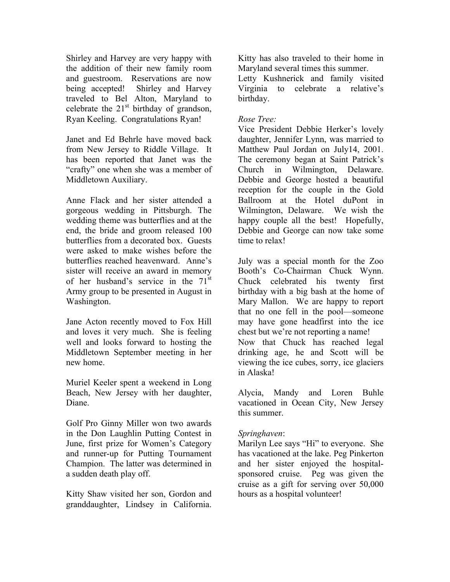Shirley and Harvey are very happy with the addition of their new family room and guestroom. Reservations are now being accepted! Shirley and Harvey traveled to Bel Alton, Maryland to celebrate the  $21<sup>st</sup>$  birthday of grandson, Ryan Keeling. Congratulations Ryan!

Janet and Ed Behrle have moved back from New Jersey to Riddle Village. It has been reported that Janet was the "crafty" one when she was a member of Middletown Auxiliary.

Anne Flack and her sister attended a gorgeous wedding in Pittsburgh. The wedding theme was butterflies and at the end, the bride and groom released 100 butterflies from a decorated box. Guests were asked to make wishes before the butterflies reached heavenward. Anne's sister will receive an award in memory of her husband's service in the  $71<sup>st</sup>$ Army group to be presented in August in Washington.

Jane Acton recently moved to Fox Hill and loves it very much. She is feeling well and looks forward to hosting the Middletown September meeting in her new home.

Muriel Keeler spent a weekend in Long Beach, New Jersey with her daughter, Diane.

Golf Pro Ginny Miller won two awards in the Don Laughlin Putting Contest in June, first prize for Women's Category and runner-up for Putting Tournament Champion. The latter was determined in a sudden death play off.

Kitty Shaw visited her son, Gordon and granddaughter, Lindsey in California.

Kitty has also traveled to their home in Maryland several times this summer.

Letty Kushnerick and family visited Virginia to celebrate a relative's birthday.

#### *Rose Tree:*

Vice President Debbie Herker's lovely daughter, Jennifer Lynn, was married to Matthew Paul Jordan on July14, 2001. The ceremony began at Saint Patrick's Church in Wilmington, Delaware. Debbie and George hosted a beautiful reception for the couple in the Gold Ballroom at the Hotel duPont in Wilmington, Delaware. We wish the happy couple all the best! Hopefully, Debbie and George can now take some time to relax!

July was a special month for the Zoo Booth's Co-Chairman Chuck Wynn. Chuck celebrated his twenty first birthday with a big bash at the home of Mary Mallon. We are happy to report that no one fell in the pool—someone may have gone headfirst into the ice chest but we're not reporting a name! Now that Chuck has reached legal drinking age, he and Scott will be viewing the ice cubes, sorry, ice glaciers in Alaska!

Alycia, Mandy and Loren Buhle vacationed in Ocean City, New Jersey this summer.

#### *Springhaven*:

Marilyn Lee says "Hi" to everyone. She has vacationed at the lake. Peg Pinkerton and her sister enjoyed the hospitalsponsored cruise. Peg was given the cruise as a gift for serving over 50,000 hours as a hospital volunteer!